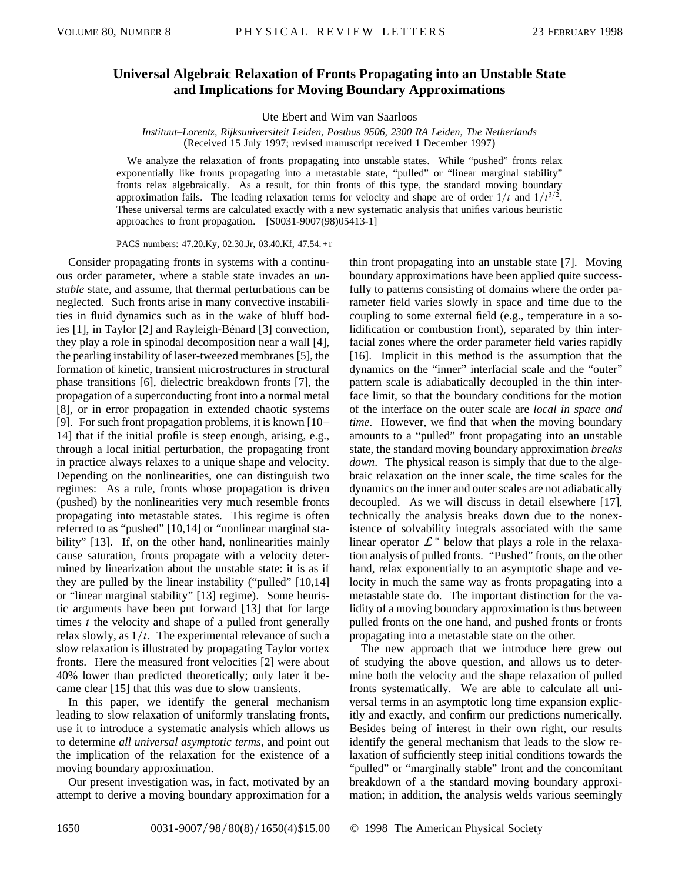## **Universal Algebraic Relaxation of Fronts Propagating into an Unstable State and Implications for Moving Boundary Approximations**

Ute Ebert and Wim van Saarloos

*Instituut–Lorentz, Rijksuniversiteit Leiden, Postbus 9506, 2300 RA Leiden, The Netherlands* (Received 15 July 1997; revised manuscript received 1 December 1997)

We analyze the relaxation of fronts propagating into unstable states. While "pushed" fronts relax exponentially like fronts propagating into a metastable state, "pulled" or "linear marginal stability" fronts relax algebraically. As a result, for thin fronts of this type, the standard moving boundary approximation fails. The leading relaxation terms for velocity and shape are of order  $1/t$  and  $1/t^{3/2}$ . These universal terms are calculated exactly with a new systematic analysis that unifies various heuristic approaches to front propagation. [S0031-9007(98)05413-1]

PACS numbers: 47.20.Ky, 02.30.Jr, 03.40.Kf, 47.54.+r

Consider propagating fronts in systems with a continuous order parameter, where a stable state invades an *unstable* state, and assume, that thermal perturbations can be neglected. Such fronts arise in many convective instabilities in fluid dynamics such as in the wake of bluff bodies [1], in Taylor [2] and Rayleigh-Bénard [3] convection, they play a role in spinodal decomposition near a wall [4], the pearling instability of laser-tweezed membranes [5], the formation of kinetic, transient microstructures in structural phase transitions [6], dielectric breakdown fronts [7], the propagation of a superconducting front into a normal metal [8], or in error propagation in extended chaotic systems [9]. For such front propagation problems, it is known [10– 14] that if the initial profile is steep enough, arising, e.g., through a local initial perturbation, the propagating front in practice always relaxes to a unique shape and velocity. Depending on the nonlinearities, one can distinguish two regimes: As a rule, fronts whose propagation is driven (pushed) by the nonlinearities very much resemble fronts propagating into metastable states. This regime is often referred to as "pushed" [10,14] or "nonlinear marginal stability" [13]. If, on the other hand, nonlinearities mainly cause saturation, fronts propagate with a velocity determined by linearization about the unstable state: it is as if they are pulled by the linear instability ("pulled" [10,14] or "linear marginal stability" [13] regime). Some heuristic arguments have been put forward [13] that for large times *t* the velocity and shape of a pulled front generally relax slowly, as  $1/t$ . The experimental relevance of such a slow relaxation is illustrated by propagating Taylor vortex fronts. Here the measured front velocities [2] were about 40% lower than predicted theoretically; only later it became clear [15] that this was due to slow transients.

In this paper, we identify the general mechanism leading to slow relaxation of uniformly translating fronts, use it to introduce a systematic analysis which allows us to determine *all universal asymptotic terms*, and point out the implication of the relaxation for the existence of a moving boundary approximation.

Our present investigation was, in fact, motivated by an attempt to derive a moving boundary approximation for a

thin front propagating into an unstable state [7]. Moving boundary approximations have been applied quite successfully to patterns consisting of domains where the order parameter field varies slowly in space and time due to the coupling to some external field (e.g., temperature in a solidification or combustion front), separated by thin interfacial zones where the order parameter field varies rapidly [16]. Implicit in this method is the assumption that the dynamics on the "inner" interfacial scale and the "outer" pattern scale is adiabatically decoupled in the thin interface limit, so that the boundary conditions for the motion of the interface on the outer scale are *local in space and time*. However, we find that when the moving boundary amounts to a "pulled" front propagating into an unstable state, the standard moving boundary approximation *breaks down*. The physical reason is simply that due to the algebraic relaxation on the inner scale, the time scales for the dynamics on the inner and outer scales are not adiabatically decoupled. As we will discuss in detail elsewhere [17], technically the analysis breaks down due to the nonexistence of solvability integrals associated with the same linear operator  $\mathcal{L}^*$  below that plays a role in the relaxation analysis of pulled fronts. "Pushed" fronts, on the other hand, relax exponentially to an asymptotic shape and velocity in much the same way as fronts propagating into a metastable state do. The important distinction for the validity of a moving boundary approximation is thus between pulled fronts on the one hand, and pushed fronts or fronts propagating into a metastable state on the other.

The new approach that we introduce here grew out of studying the above question, and allows us to determine both the velocity and the shape relaxation of pulled fronts systematically. We are able to calculate all universal terms in an asymptotic long time expansion explicitly and exactly, and confirm our predictions numerically. Besides being of interest in their own right, our results identify the general mechanism that leads to the slow relaxation of sufficiently steep initial conditions towards the "pulled" or "marginally stable" front and the concomitant breakdown of a the standard moving boundary approximation; in addition, the analysis welds various seemingly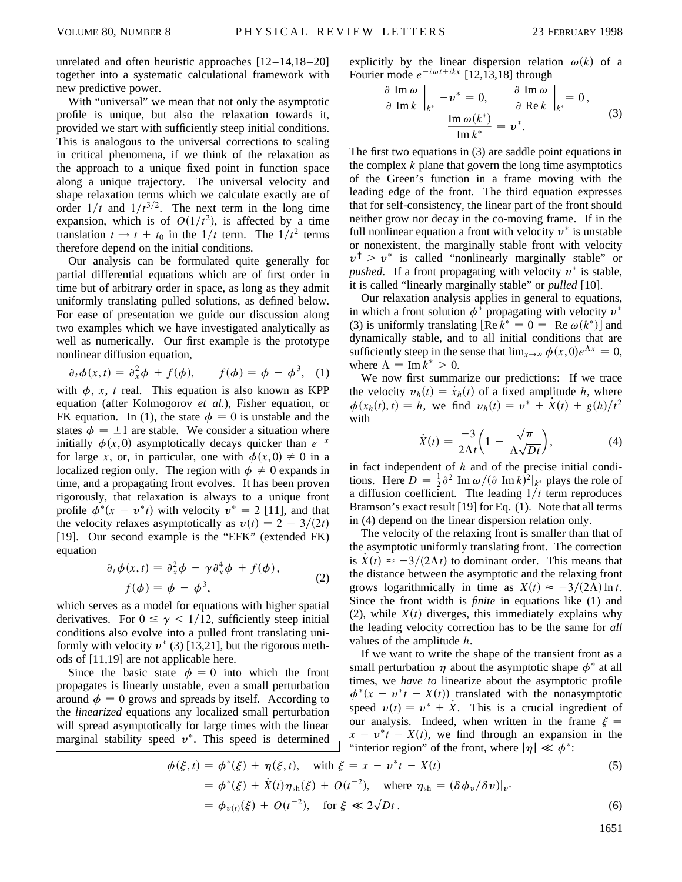unrelated and often heuristic approaches [12–14,18–20] together into a systematic calculational framework with new predictive power.

With "universal" we mean that not only the asymptotic profile is unique, but also the relaxation towards it, provided we start with sufficiently steep initial conditions. This is analogous to the universal corrections to scaling in critical phenomena, if we think of the relaxation as the approach to a unique fixed point in function space along a unique trajectory. The universal velocity and shape relaxation terms which we calculate exactly are of order  $1/t$  and  $1/t^{3/2}$ . The next term in the long time expansion, which is of  $O(1/t^2)$ , is affected by a time translation  $t \to t + t_0$  in the  $1/t$  term. The  $1/t^2$  terms therefore depend on the initial conditions.

Our analysis can be formulated quite generally for partial differential equations which are of first order in time but of arbitrary order in space, as long as they admit uniformly translating pulled solutions, as defined below. For ease of presentation we guide our discussion along two examples which we have investigated analytically as well as numerically. Our first example is the prototype nonlinear diffusion equation,

$$
\partial_t \phi(x,t) = \partial_x^2 \phi + f(\phi), \qquad f(\phi) = \phi - \phi^3, \quad (1)
$$

with  $\phi$ , *x*, *t* real. This equation is also known as KPP equation (after Kolmogorov *et al.*), Fisher equation, or FK equation. In (1), the state  $\phi = 0$  is unstable and the states  $\phi = \pm 1$  are stable. We consider a situation where initially  $\phi(x, 0)$  asymptotically decays quicker than  $e^{-x}$ for large *x*, or, in particular, one with  $\phi(x, 0) \neq 0$  in a localized region only. The region with  $\phi \neq 0$  expands in time, and a propagating front evolves. It has been proven rigorously, that relaxation is always to a unique front profile  $\phi^*(x - v^*t)$  with velocity  $v^* = 2$  [11], and that the velocity relaxes asymptotically as  $v(t) = 2 - 3/(2t)$ [19]. Our second example is the "EFK" (extended FK) equation

$$
\partial_t \phi(x,t) = \partial_x^2 \phi - \gamma \partial_x^4 \phi + f(\phi),
$$
  

$$
f(\phi) = \phi - \phi^3,
$$
 (2)

which serves as a model for equations with higher spatial derivatives. For  $0 \le \gamma \le 1/12$ , sufficiently steep initial conditions also evolve into a pulled front translating uniformly with velocity  $v^*$  (3) [13,21], but the rigorous methods of [11,19] are not applicable here.

Since the basic state  $\phi = 0$  into which the front propagates is linearly unstable, even a small perturbation around  $\phi = 0$  grows and spreads by itself. According to the *linearized* equations any localized small perturbation will spread asymptotically for large times with the linear marginal stability speed  $v^*$ . This speed is determined

explicitly by the linear dispersion relation 
$$
\omega(k)
$$
 of a Fourier mode  $e^{-i\omega t + ikx}$  [12,13,18] through

$$
\frac{\partial \text{ Im } \omega}{\partial \text{ Im } k} \bigg|_{k^*} - v^* = 0, \qquad \frac{\partial \text{ Im } \omega}{\partial \text{ Re } k} \bigg|_{k^*} = 0,
$$
\n
$$
\frac{\text{Im } \omega(k^*)}{\text{Im } k^*} = v^*.
$$
\n(3)

The first two equations in (3) are saddle point equations in the complex *k* plane that govern the long time asymptotics of the Green's function in a frame moving with the leading edge of the front. The third equation expresses that for self-consistency, the linear part of the front should neither grow nor decay in the co-moving frame. If in the full nonlinear equation a front with velocity  $v^*$  is unstable or nonexistent, the marginally stable front with velocity  $v^{\dagger} > v^*$  is called "nonlinearly marginally stable" or *pushed*. If a front propagating with velocity  $v^*$  is stable, it is called "linearly marginally stable" or *pulled* [10].

Our relaxation analysis applies in general to equations, in which a front solution  $\phi^*$  propagating with velocity  $v^*$ (3) is uniformly translating  $\left[ \text{Re } k^* = 0 \right] = \text{Re } \omega(k^*)$  and dynamically stable, and to all initial conditions that are sufficiently steep in the sense that  $\lim_{x\to\infty} \phi(x,0)e^{\Lambda x} = 0$ , where  $\Lambda = \text{Im } k^* > 0$ .

We now first summarize our predictions: If we trace the velocity  $v_h(t) = \dot{x}_h(t)$  of a fixed amplitude *h*, where  $\phi(x_h(t), t) = h$ , we find  $v_h(t) = v^* + \dot{X}(t) + g(h)/t^2$ with

$$
\dot{X}(t) = \frac{-3}{2\Lambda t} \left( 1 - \frac{\sqrt{\pi}}{\Lambda \sqrt{Dt}} \right),\tag{4}
$$

in fact independent of *h* and of the precise initial conditions. Here  $D = \frac{1}{2}\partial^2 \text{Im } \omega / (\partial \text{Im } k)^2 |_{k^*}$  plays the role of a diffusion coefficient. The leading  $1/t$  term reproduces Bramson's exact result [19] for Eq. (1). Note that all terms in (4) depend on the linear dispersion relation only.

The velocity of the relaxing front is smaller than that of the asymptotic uniformly translating front. The correction is  $X(t) \approx -3/(2\Lambda t)$  to dominant order. This means that the distance between the asymptotic and the relaxing front grows logarithmically in time as  $X(t) \approx -3/(2\Lambda) \ln t$ . Since the front width is *finite* in equations like (1) and  $(2)$ , while  $X(t)$  diverges, this immediately explains why the leading velocity correction has to be the same for *all* values of the amplitude *h*.

If we want to write the shape of the transient front as a small perturbation  $\eta$  about the asymptotic shape  $\phi^*$  at all times, we *have to* linearize about the asymptotic profile  $\phi^*(x - v^*t - X(t))$  translated with the nonasymptotic speed  $v(t) = v^* + X$ . This is a crucial ingredient of our analysis. Indeed, when written in the frame  $\xi =$  $x - v^*t - X(t)$ , we find through an expansion in the "interior region" of the front, where  $|\eta| \ll \phi^*$ :

$$
\phi(\xi, t) = \phi^*(\xi) + \eta(\xi, t), \quad \text{with } \xi = x - v^*t - X(t) \tag{5}
$$

$$
= \phi^*(\xi) + \dot{X}(t)\eta_{sh}(\xi) + O(t^{-2}), \text{ where } \eta_{sh} = (\delta\phi_v/\delta v)|_{v^*}
$$
  

$$
= \phi_{v(t)}(\xi) + O(t^{-2}), \text{ for } \xi \ll 2\sqrt{Dt}.
$$
 (6)

1651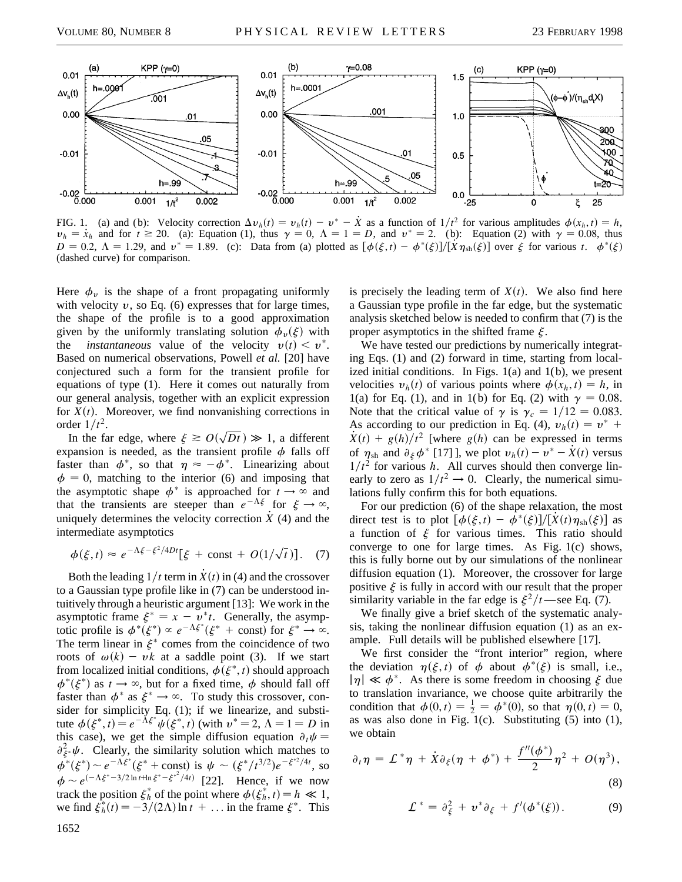

FIG. 1. (a) and (b): Velocity correction  $\Delta v_h(t) = v_h(t) - v^* - \dot{X}$  as a function of  $1/t^2$  for various amplitudes  $\phi(x_h, t) = h$ ,  $v_h = \dot{x}_h$  and for  $t \ge 20$ . (a): Equation (1), thus  $\gamma = 0$ ,  $\Lambda = 1 = D$ , and  $v^* = 2$ . (b): Equation (2) with  $\gamma = 0.08$ , thus  $D = 0.2$ ,  $\Lambda = 1.29$ , and  $v^* = 1.89$ . (c): Data from (a) plotted as  $\left[\phi(\xi, t) - \phi^*(\xi)\right]/\left[X\eta_{sh}(\xi)\right]$  over  $\xi$  for various *t*.  $\phi^*(\xi)$ (dashed curve) for comparison.

Here  $\phi_v$  is the shape of a front propagating uniformly with velocity  $v$ , so Eq. (6) expresses that for large times, the shape of the profile is to a good approximation given by the uniformly translating solution  $\phi_{\nu}(\xi)$  with the *instantaneous* value of the velocity  $v(t) < v^*$ . Based on numerical observations, Powell *et al.* [20] have conjectured such a form for the transient profile for equations of type (1). Here it comes out naturally from our general analysis, together with an explicit expression for  $X(t)$ . Moreover, we find nonvanishing corrections in order  $1/t^2$ . p

In the far edge, where  $\xi \ge O(\xi)$  $\overline{Dt}$ )  $\gg$  1, a different expansion is needed, as the transient profile  $\phi$  falls off faster than  $\phi^*$ , so that  $\eta \approx -\phi^*$ . Linearizing about  $\phi = 0$ , matching to the interior (6) and imposing that the asymptotic shape  $\phi^*$  is approached for  $t \to \infty$  and that the transients are steeper than  $e^{-\Lambda \xi}$  for  $\xi \to \infty$ , uniquely determines the velocity correction  $X(4)$  and the intermediate asymptotics

$$
\phi(\xi, t) \approx e^{-\Lambda \xi - \xi^2/4Dt} [\xi + \text{const} + O(1/\sqrt{t})]. \quad (7)
$$

Both the leading  $1/t$  term in  $\dot{X}(t)$  in (4) and the crossover to a Gaussian type profile like in (7) can be understood intuitively through a heuristic argument [13]: We work in the asymptotic frame  $\xi^* = x - v^*t$ . Generally, the asymptotic profile is  $\phi^*(\xi^*) \propto e^{-\Lambda \xi^*} (\xi^* + \text{const})$  for  $\xi^* \to \infty$ . The term linear in  $\xi^*$  comes from the coincidence of two roots of  $\omega(k) - v k$  at a saddle point (3). If we start from localized initial conditions,  $\phi(\xi^*,t)$  should approach  $\phi^*(\xi^*)$  as  $t \to \infty$ , but for a fixed time,  $\phi$  should fall off faster than  $\phi^*$  as  $\xi^* \to \infty$ . To study this crossover, consider for simplicity Eq. (1); if we linearize, and substitute  $\phi(\xi^*, t) = e^{-\tilde{\Lambda}\xi^*}\psi(\xi^*, t)$  (with  $v^* = 2$ ,  $\Lambda = 1 = D$  in this case), we get the simple diffusion equation  $\partial_t \psi =$  $\partial_{\xi^*}^2 \psi$ . Clearly, the similarity solution which matches to  $\phi^*(\xi^*) \sim e^{-\Lambda \xi^*} (\xi^* + \text{const})$  is  $\psi \sim (\xi^*/t^{3/2})e^{-\xi^{*2}/4t}$ , so  $\phi \sim e^{(-\Lambda \xi^* - 3/2 \ln t + \ln \xi^* - \xi^{*^2}/4t)}$  [22]. Hence, if we now track the position  $\xi_h^*$  of the point where  $\phi(\xi_h^*, t) = h \ll 1$ , we find  $\dot{\xi}_h^*(t) = -\frac{3}{2\lambda(2\Lambda)} \ln t + \dots$  in the frame  $\xi^*$ . This

is precisely the leading term of  $X(t)$ . We also find here a Gaussian type profile in the far edge, but the systematic analysis sketched below is needed to confirm that (7) is the proper asymptotics in the shifted frame  $\xi$ .

We have tested our predictions by numerically integrating Eqs. (1) and (2) forward in time, starting from localized initial conditions. In Figs. 1(a) and 1(b), we present velocities  $v_h(t)$  of various points where  $\phi(x_h, t) = h$ , in 1(a) for Eq. (1), and in 1(b) for Eq. (2) with  $\gamma = 0.08$ . Note that the critical value of  $\gamma$  is  $\gamma_c = 1/12 = 0.083$ . As according to our prediction in Eq. (4),  $v_h(t) = v^* +$  $X(t) + g(h)/t^2$  [where *g*(*h*) can be expressed in terms of  $\eta_{sh}$  and  $\partial_{\xi} \phi^*$  [17] ], we plot  $v_h(t) - v^* - \dot{X}(t)$  versus  $1/t^2$  for various *h*. All curves should then converge linearly to zero as  $1/t^2 \rightarrow 0$ . Clearly, the numerical simulations fully confirm this for both equations.

For our prediction (6) of the shape relaxation, the most direct test is to plot  $\left[\phi(\xi,t) - \phi^*(\xi)\right]/[X(t)\eta_{sh}(\xi)]$  as a function of  $\xi$  for various times. This ratio should converge to one for large times. As Fig. 1(c) shows, this is fully borne out by our simulations of the nonlinear diffusion equation (1). Moreover, the crossover for large positive  $\xi$  is fully in accord with our result that the proper similarity variable in the far edge is  $\xi^2/t$  — see Eq. (7).

We finally give a brief sketch of the systematic analysis, taking the nonlinear diffusion equation (1) as an example. Full details will be published elsewhere [17].

We first consider the "front interior" region, where the deviation  $\eta(\xi, t)$  of  $\phi$  about  $\phi^*(\xi)$  is small, i.e.,  $|\eta| \ll \phi^*$ . As there is some freedom in choosing  $\xi$  due to translation invariance, we choose quite arbitrarily the condition that  $\phi(0, t) = \frac{1}{2} = \phi^*(0)$ , so that  $\eta(0, t) = 0$ , as was also done in Fig. 1(c). Substituting  $(5)$  into  $(1)$ , we obtain

$$
\partial_t \eta = \mathcal{L}^* \eta + \dot{X} \partial_{\xi} (\eta + \phi^*) + \frac{f''(\phi^*)}{2} \eta^2 + O(\eta^3),
$$
\n(8)

$$
\mathcal{L}^* = \partial_{\xi}^2 + \boldsymbol{v}^* \partial_{\xi} + f'(\boldsymbol{\phi}^*(\xi)). \tag{9}
$$